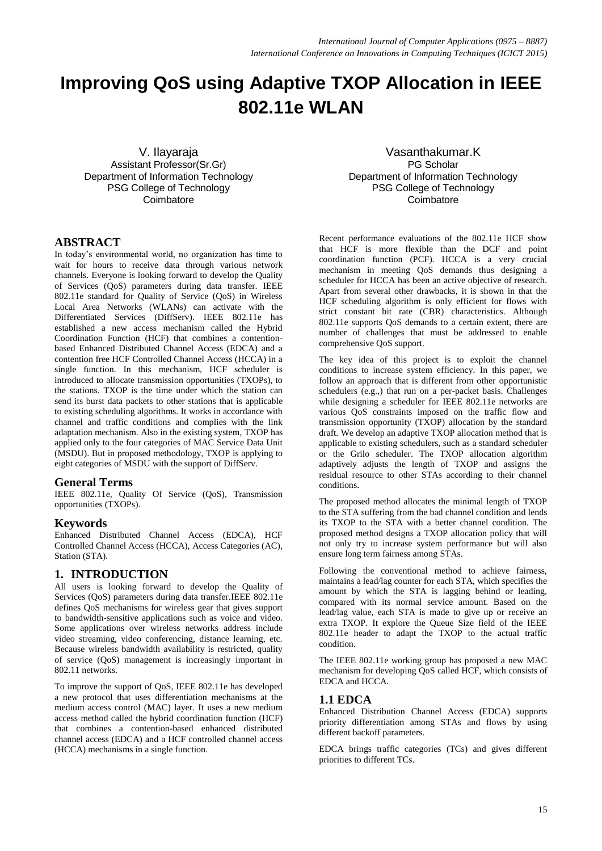# **Improving QoS using Adaptive TXOP Allocation in IEEE 802.11e WLAN**

V. Ilayaraja Assistant Professor(Sr.Gr) Department of Information Technology PSG College of Technology **Coimbatore** 

**ABSTRACT**

In today's environmental world, no organization has time to wait for hours to receive data through various network channels. Everyone is looking forward to develop the Quality of Services (QoS) parameters during data transfer. IEEE 802.11e standard for Quality of Service (QoS) in Wireless Local Area Networks (WLANs) can activate with the Differentiated Services (DiffServ). IEEE 802.11e has established a new access mechanism called the Hybrid Coordination Function (HCF) that combines a contentionbased Enhanced Distributed Channel Access (EDCA) and a contention free HCF Controlled Channel Access (HCCA) in a single function. In this mechanism, HCF scheduler is introduced to allocate transmission opportunities (TXOPs), to the stations. TXOP is the time under which the station can send its burst data packets to other stations that is applicable to existing scheduling algorithms. It works in accordance with channel and traffic conditions and complies with the link adaptation mechanism. Also in the existing system, TXOP has applied only to the four categories of MAC Service Data Unit (MSDU). But in proposed methodology, TXOP is applying to eight categories of MSDU with the support of DiffServ.

#### **General Terms**

IEEE 802.11e, Quality Of Service (QoS), Transmission opportunities (TXOPs).

### **Keywords**

Enhanced Distributed Channel Access (EDCA), HCF Controlled Channel Access (HCCA), Access Categories (AC), Station (STA).

### **1. INTRODUCTION**

All users is looking forward to develop the Quality of Services (QoS) parameters during data transfer.IEEE 802.11e defines QoS mechanisms for wireless gear that gives support to bandwidth-sensitive applications such as voice and video. Some applications over wireless networks address include video streaming, video conferencing, distance learning, etc. Because wireless bandwidth availability is restricted, quality of service (QoS) management is increasingly important in 802.11 networks.

To improve the support of QoS, IEEE 802.11e has developed a new protocol that uses differentiation mechanisms at the medium access control (MAC) layer. It uses a new medium access method called the hybrid coordination function (HCF) that combines a contention-based enhanced distributed channel access (EDCA) and a HCF controlled channel access (HCCA) mechanisms in a single function.

Vasanthakumar.K PG Scholar Department of Information Technology PSG College of Technology **Coimbatore** 

Recent performance evaluations of the 802.11e HCF show that HCF is more flexible than the DCF and point coordination function (PCF). HCCA is a very crucial mechanism in meeting QoS demands thus designing a scheduler for HCCA has been an active objective of research. Apart from several other drawbacks, it is shown in that the HCF scheduling algorithm is only efficient for flows with strict constant bit rate (CBR) characteristics. Although 802.11e supports QoS demands to a certain extent, there are number of challenges that must be addressed to enable comprehensive QoS support.

The key idea of this project is to exploit the channel conditions to increase system efficiency. In this paper, we follow an approach that is different from other opportunistic schedulers (e.g.,) that run on a per-packet basis. Challenges while designing a scheduler for IEEE 802.11e networks are various QoS constraints imposed on the traffic flow and transmission opportunity (TXOP) allocation by the standard draft. We develop an adaptive TXOP allocation method that is applicable to existing schedulers, such as a standard scheduler or the Grilo scheduler. The TXOP allocation algorithm adaptively adjusts the length of TXOP and assigns the residual resource to other STAs according to their channel conditions.

The proposed method allocates the minimal length of TXOP to the STA suffering from the bad channel condition and lends its TXOP to the STA with a better channel condition. The proposed method designs a TXOP allocation policy that will not only try to increase system performance but will also ensure long term fairness among STAs.

Following the conventional method to achieve fairness, maintains a lead/lag counter for each STA, which specifies the amount by which the STA is lagging behind or leading, compared with its normal service amount. Based on the lead/lag value, each STA is made to give up or receive an extra TXOP. It explore the Queue Size field of the IEEE 802.11e header to adapt the TXOP to the actual traffic condition.

The IEEE 802.11e working group has proposed a new MAC mechanism for developing QoS called HCF, which consists of EDCA and HCCA.

### **1.1 EDCA**

Enhanced Distribution Channel Access (EDCA) supports priority differentiation among STAs and flows by using different backoff parameters.

EDCA brings traffic categories (TCs) and gives different priorities to different TCs.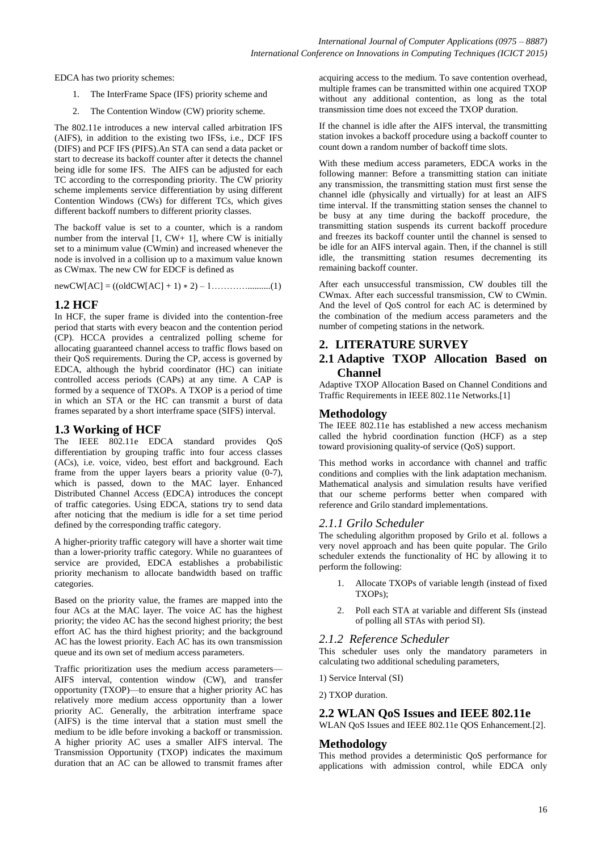EDCA has two priority schemes:

- 1. The InterFrame Space (IFS) priority scheme and
- 2. The Contention Window (CW) priority scheme.

The 802.11e introduces a new interval called arbitration IFS (AIFS), in addition to the existing two IFSs, i.e., DCF IFS (DIFS) and PCF IFS (PIFS).An STA can send a data packet or start to decrease its backoff counter after it detects the channel being idle for some IFS. The AIFS can be adjusted for each TC according to the corresponding priority. The CW priority scheme implements service differentiation by using different Contention Windows (CWs) for different TCs, which gives different backoff numbers to different priority classes.

The backoff value is set to a counter, which is a random number from the interval  $[1, CW+ 1]$ , where CW is initially set to a minimum value (CWmin) and increased whenever the node is involved in a collision up to a maximum value known as CWmax. The new CW for EDCF is defined as

newCW[AC] = ((oldCW[AC] + 1) ∗ 2) – 1…………..........(1)

#### **1.2 HCF**

In HCF, the super frame is divided into the contention-free period that starts with every beacon and the contention period (CP). HCCA provides a centralized polling scheme for allocating guaranteed channel access to traffic flows based on their QoS requirements. During the CP, access is governed by EDCA, although the hybrid coordinator (HC) can initiate controlled access periods (CAPs) at any time. A CAP is formed by a sequence of TXOPs. A TXOP is a period of time in which an STA or the HC can transmit a burst of data frames separated by a short interframe space (SIFS) interval.

### **1.3 Working of HCF**

The IEEE 802.11e EDCA standard provides QoS differentiation by grouping traffic into four access classes (ACs), i.e. voice, video, best effort and background. Each frame from the upper layers bears a priority value (0-7), which is passed, down to the MAC layer. Enhanced Distributed Channel Access (EDCA) introduces the concept of traffic categories. Using EDCA, stations try to send data after noticing that the medium is idle for a set time period defined by the corresponding traffic category.

A higher-priority traffic category will have a shorter wait time than a lower-priority traffic category. While no guarantees of service are provided, EDCA establishes a probabilistic priority mechanism to allocate bandwidth based on traffic categories.

Based on the priority value, the frames are mapped into the four ACs at the MAC layer. The voice AC has the highest priority; the video AC has the second highest priority; the best effort AC has the third highest priority; and the background AC has the lowest priority. Each AC has its own transmission queue and its own set of medium access parameters.

Traffic prioritization uses the medium access parameters— AIFS interval, contention window (CW), and transfer opportunity (TXOP)—to ensure that a higher priority AC has relatively more medium access opportunity than a lower priority AC. Generally, the arbitration interframe space (AIFS) is the time interval that a station must smell the medium to be idle before invoking a backoff or transmission. A higher priority AC uses a smaller AIFS interval. The Transmission Opportunity (TXOP) indicates the maximum duration that an AC can be allowed to transmit frames after

acquiring access to the medium. To save contention overhead, multiple frames can be transmitted within one acquired TXOP without any additional contention, as long as the total transmission time does not exceed the TXOP duration.

If the channel is idle after the AIFS interval, the transmitting station invokes a backoff procedure using a backoff counter to count down a random number of backoff time slots.

With these medium access parameters, EDCA works in the following manner: Before a transmitting station can initiate any transmission, the transmitting station must first sense the channel idle (physically and virtually) for at least an AIFS time interval. If the transmitting station senses the channel to be busy at any time during the backoff procedure, the transmitting station suspends its current backoff procedure and freezes its backoff counter until the channel is sensed to be idle for an AIFS interval again. Then, if the channel is still idle, the transmitting station resumes decrementing its remaining backoff counter.

After each unsuccessful transmission, CW doubles till the CWmax. After each successful transmission, CW to CWmin. And the level of QoS control for each AC is determined by the combination of the medium access parameters and the number of competing stations in the network.

#### **2. LITERATURE SURVEY**

### **2.1 Adaptive TXOP Allocation Based on Channel**

Adaptive TXOP Allocation Based on Channel Conditions and Traffic Requirements in IEEE 802.11e Networks.[1]

#### **Methodology**

The IEEE 802.11e has established a new access mechanism called the hybrid coordination function (HCF) as a step toward provisioning quality-of service (QoS) support.

This method works in accordance with channel and traffic conditions and complies with the link adaptation mechanism. Mathematical analysis and simulation results have verified that our scheme performs better when compared with reference and Grilo standard implementations.

#### *2.1.1 Grilo Scheduler*

The scheduling algorithm proposed by Grilo et al. follows a very novel approach and has been quite popular. The Grilo scheduler extends the functionality of HC by allowing it to perform the following:

- 1. Allocate TXOPs of variable length (instead of fixed TXOPs);
- 2. Poll each STA at variable and different SIs (instead of polling all STAs with period SI).

#### *2.1.2 Reference Scheduler*

This scheduler uses only the mandatory parameters in calculating two additional scheduling parameters,

1) Service Interval (SI)

2) TXOP duration.

#### **2.2 WLAN QoS Issues and IEEE 802.11e**

WLAN QoS Issues and IEEE 802.11e QOS Enhancement.[2].

#### **Methodology**

This method provides a deterministic QoS performance for applications with admission control, while EDCA only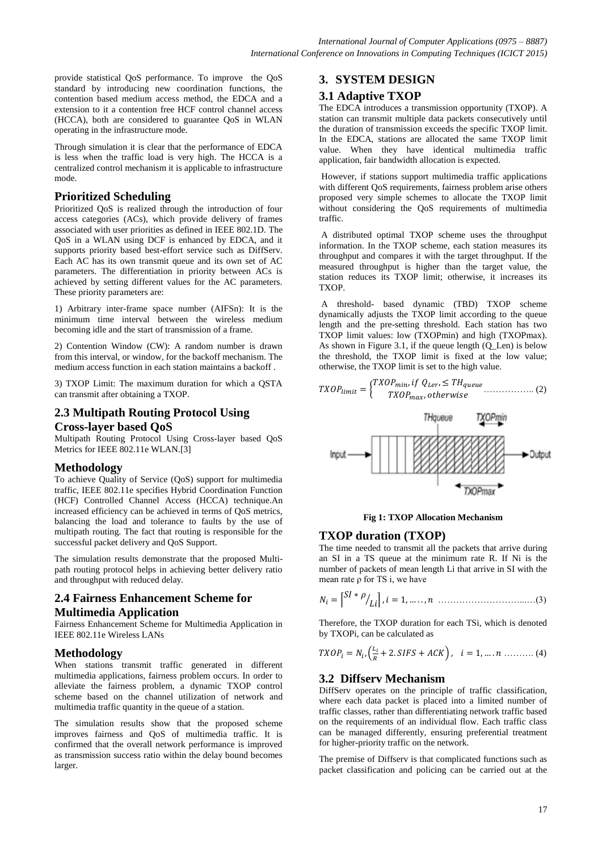provide statistical QoS performance. To improve the QoS standard by introducing new coordination functions, the contention based medium access method, the EDCA and a extension to it a contention free HCF control channel access (HCCA), both are considered to guarantee QoS in WLAN operating in the infrastructure mode.

Through simulation it is clear that the performance of EDCA is less when the traffic load is very high. The HCCA is a centralized control mechanism it is applicable to infrastructure mode.

### **Prioritized Scheduling**

Prioritized QoS is realized through the introduction of four access categories (ACs), which provide delivery of frames associated with user priorities as defined in IEEE 802.1D. The QoS in a WLAN using DCF is enhanced by EDCA, and it supports priority based best-effort service such as DiffServ. Each AC has its own transmit queue and its own set of AC parameters. The differentiation in priority between ACs is achieved by setting different values for the AC parameters. These priority parameters are:

1) Arbitrary inter-frame space number (AIFSn): It is the minimum time interval between the wireless medium becoming idle and the start of transmission of a frame.

2) Contention Window (CW): A random number is drawn from this interval, or window, for the backoff mechanism. The medium access function in each station maintains a backoff .

3) TXOP Limit: The maximum duration for which a QSTA can transmit after obtaining a TXOP.

### **2.3 Multipath Routing Protocol Using Cross-layer based QoS**

Multipath Routing Protocol Using Cross-layer based QoS Metrics for IEEE 802.11e WLAN.[3]

### **Methodology**

To achieve Quality of Service (QoS) support for multimedia traffic, IEEE 802.11e specifies Hybrid Coordination Function (HCF) Controlled Channel Access (HCCA) technique.An increased efficiency can be achieved in terms of QoS metrics, balancing the load and tolerance to faults by the use of multipath routing. The fact that routing is responsible for the successful packet delivery and QoS Support.

The simulation results demonstrate that the proposed Multipath routing protocol helps in achieving better delivery ratio and throughput with reduced delay.

### **2.4 Fairness Enhancement Scheme for Multimedia Application**

Fairness Enhancement Scheme for Multimedia Application in IEEE 802.11e Wireless LANs

### **Methodology**

When stations transmit traffic generated in different multimedia applications, fairness problem occurs. In order to alleviate the fairness problem, a dynamic TXOP control scheme based on the channel utilization of network and multimedia traffic quantity in the queue of a station.

The simulation results show that the proposed scheme improves fairness and QoS of multimedia traffic. It is confirmed that the overall network performance is improved as transmission success ratio within the delay bound becomes larger.

### **3. SYSTEM DESIGN**

### **3.1 Adaptive TXOP**

The EDCA introduces a transmission opportunity (TXOP). A station can transmit multiple data packets consecutively until the duration of transmission exceeds the specific TXOP limit. In the EDCA, stations are allocated the same TXOP limit value. When they have identical multimedia traffic application, fair bandwidth allocation is expected.

However, if stations support multimedia traffic applications with different QoS requirements, fairness problem arise others proposed very simple schemes to allocate the TXOP limit without considering the QoS requirements of multimedia traffic.

A distributed optimal TXOP scheme uses the throughput information. In the TXOP scheme, each station measures its throughput and compares it with the target throughput. If the measured throughput is higher than the target value, the station reduces its TXOP limit; otherwise, it increases its TXOP.

A threshold- based dynamic (TBD) TXOP scheme dynamically adjusts the TXOP limit according to the queue length and the pre-setting threshold. Each station has two TXOP limit values: low (TXOPmin) and high (TXOPmax). As shown in Figure 3.1, if the queue length (Q\_Len) is below the threshold, the TXOP limit is fixed at the low value; otherwise, the TXOP limit is set to the high value.





### **TXOP duration (TXOP)**

The time needed to transmit all the packets that arrive during an SI in a TS queue at the minimum rate R. If Ni is the number of packets of mean length Li that arrive in SI with the mean rate  $\rho$  for TS i, we have

 ∗ ………………………...…(3)

Therefore, the TXOP duration for each TSi, which is denoted by TXOPi, can be calculated as

$$
TXOP_i = N_i, \left(\frac{L_i}{R} + 2.SIFS + ACK\right), \quad i = 1, \dots, n \dots \dots \dots (4)
$$

### **3.2 Diffserv Mechanism**

DiffServ operates on the principle of traffic classification, where each data packet is placed into a limited number of traffic classes, rather than differentiating network traffic based on the requirements of an individual flow. Each traffic class can be managed differently, ensuring preferential treatment for higher-priority traffic on the network.

The premise of Diffserv is that complicated functions such as packet classification and policing can be carried out at the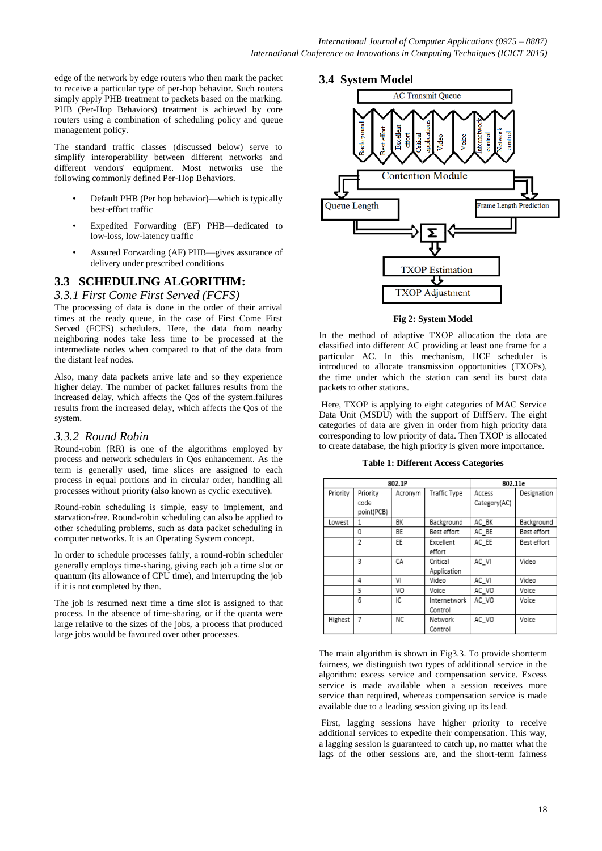edge of the network by edge routers who then mark the packet to receive a particular type of per-hop behavior. Such routers simply apply PHB treatment to packets based on the marking. PHB (Per-Hop Behaviors) treatment is achieved by core routers using a combination of scheduling policy and queue management policy.

The standard traffic classes (discussed below) serve to simplify interoperability between different networks and different vendors' equipment. Most networks use the following commonly defined Per-Hop Behaviors.

- Default PHB (Per hop behavior)—which is typically best-effort traffic
- Expedited Forwarding (EF) PHB—dedicated to low-loss, low-latency traffic
- Assured Forwarding (AF) PHB—gives assurance of delivery under prescribed conditions

## **3.3 SCHEDULING ALGORITHM:**

*3.3.1 First Come First Served (FCFS)*

The processing of data is done in the order of their arrival times at the ready queue, in the case of First Come First Served (FCFS) schedulers. Here, the data from nearby neighboring nodes take less time to be processed at the intermediate nodes when compared to that of the data from the distant leaf nodes.

Also, many data packets arrive late and so they experience higher delay. The number of packet failures results from the increased delay, which affects the Qos of the system.failures results from the increased delay, which affects the Qos of the system.

### *3.3.2 Round Robin*

Round-robin (RR) is one of the algorithms employed by process and network schedulers in Qos enhancement. As the term is generally used, time slices are assigned to each process in equal portions and in circular order, handling all processes without priority (also known as cyclic executive).

Round-robin scheduling is simple, easy to implement, and starvation-free. Round-robin scheduling can also be applied to other scheduling problems, such as data packet scheduling in computer networks. It is an Operating System concept.

In order to schedule processes fairly, a round-robin scheduler generally employs time-sharing, giving each job a time slot or quantum (its allowance of CPU time), and interrupting the job if it is not completed by then.

The job is resumed next time a time slot is assigned to that process. In the absence of time-sharing, or if the quanta were large relative to the sizes of the jobs, a process that produced large jobs would be favoured over other processes.

### **3.4 System Model**



**Fig 2: System Model**

In the method of adaptive TXOP allocation the data are classified into different AC providing at least one frame for a particular AC. In this mechanism, HCF scheduler is introduced to allocate transmission opportunities (TXOPs), the time under which the station can send its burst data packets to other stations.

Here, TXOP is applying to eight categories of MAC Service Data Unit (MSDU) with the support of DiffServ. The eight categories of data are given in order from high priority data corresponding to low priority of data. Then TXOP is allocated to create database, the high priority is given more importance.

**Table 1: Different Access Categories**

| 802.1P   |                                |         |                         | 802.11e                |             |
|----------|--------------------------------|---------|-------------------------|------------------------|-------------|
| Priority | Priority<br>code<br>point(PCB) | Acronym | Traffic Type            | Access<br>Category(AC) | Designation |
| Lowest   | 1                              | BК      | Background              | AC BK                  | Background  |
|          | 0                              | ΒE      | Best effort             | AC BE                  | Best effort |
|          | $\mathfrak{p}$                 | EE      | Excellent<br>effort     | AC EE                  | Best effort |
|          | 3                              | CA      | Critical<br>Application | AC VI                  | Video       |
|          | 4                              | VI      | Video                   | AC VI                  | Video       |
|          | 5                              | VO      | Voice                   | AC VO                  | Voice       |
|          | 6                              | IC      | Internetwork<br>Control | AC VO                  | Voice       |
| Highest  | 7                              | ΝC      | Network<br>Control      | AC VO                  | Voice       |

The main algorithm is shown in Fig3.3. To provide shortterm fairness, we distinguish two types of additional service in the algorithm: excess service and compensation service. Excess service is made available when a session receives more service than required, whereas compensation service is made available due to a leading session giving up its lead.

First, lagging sessions have higher priority to receive additional services to expedite their compensation. This way, a lagging session is guaranteed to catch up, no matter what the lags of the other sessions are, and the short-term fairness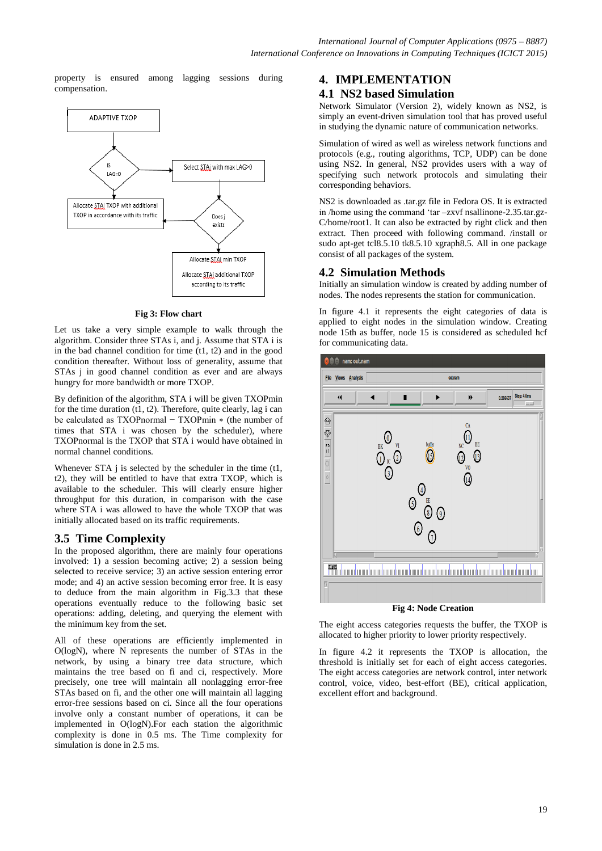property is ensured among lagging sessions during compensation.



#### **Fig 3: Flow chart**

Let us take a very simple example to walk through the algorithm. Consider three STAs i, and j. Assume that STA i is in the bad channel condition for time  $(t1, t2)$  and in the good condition thereafter. Without loss of generality, assume that STAs *i* in good channel condition as ever and are always hungry for more bandwidth or more TXOP.

By definition of the algorithm, STA i will be given TXOPmin for the time duration  $(t1, t2)$ . Therefore, quite clearly, lag i can be calculated as TXOPnormal − TXOPmin ∗ (the number of times that STA i was chosen by the scheduler), where TXOPnormal is the TXOP that STA i would have obtained in normal channel conditions.

Whenever STA *j* is selected by the scheduler in the time (t1, t2), they will be entitled to have that extra TXOP, which is available to the scheduler. This will clearly ensure higher throughput for this duration, in comparison with the case where STA i was allowed to have the whole TXOP that was initially allocated based on its traffic requirements.

### **3.5 Time Complexity**

In the proposed algorithm, there are mainly four operations involved: 1) a session becoming active; 2) a session being selected to receive service; 3) an active session entering error mode; and 4) an active session becoming error free. It is easy to deduce from the main algorithm in Fig.3.3 that these operations eventually reduce to the following basic set operations: adding, deleting, and querying the element with the minimum key from the set.

All of these operations are efficiently implemented in O(logN), where N represents the number of STAs in the network, by using a binary tree data structure, which maintains the tree based on fi and ci, respectively. More precisely, one tree will maintain all nonlagging error-free STAs based on fi, and the other one will maintain all lagging error-free sessions based on ci. Since all the four operations involve only a constant number of operations, it can be implemented in O(logN).For each station the algorithmic complexity is done in 0.5 ms. The Time complexity for simulation is done in 2.5 ms.

### **4. IMPLEMENTATION**

### **4.1 NS2 based Simulation**

Network Simulator (Version 2), widely known as NS2, is simply an event-driven simulation tool that has proved useful in studying the dynamic nature of communication networks.

Simulation of wired as well as wireless network functions and protocols (e.g., routing algorithms, TCP, UDP) can be done using NS2. In general, NS2 provides users with a way of specifying such network protocols and simulating their corresponding behaviors.

NS2 is downloaded as .tar.gz file in Fedora OS. It is extracted in /home using the command 'tar –zxvf nsallinone-2.35.tar.gz-C/home/root1. It can also be extracted by right click and then extract. Then proceed with following command. /install or sudo apt-get tcl8.5.10 tk8.5.10 xgraph8.5. All in one package consist of all packages of the system.

### **4.2 Simulation Methods**

Initially an simulation window is created by adding number of nodes. The nodes represents the station for communication.

In figure 4.1 it represents the eight categories of data is applied to eight nodes in the simulation window. Creating node 15th as buffer, node 15 is considered as scheduled hcf for communicating data.



The eight access categories requests the buffer, the TXOP is allocated to higher priority to lower priority respectively.

In figure 4.2 it represents the TXOP is allocation, the threshold is initially set for each of eight access categories. The eight access categories are network control, inter network control, voice, video, best-effort (BE), critical application, excellent effort and background.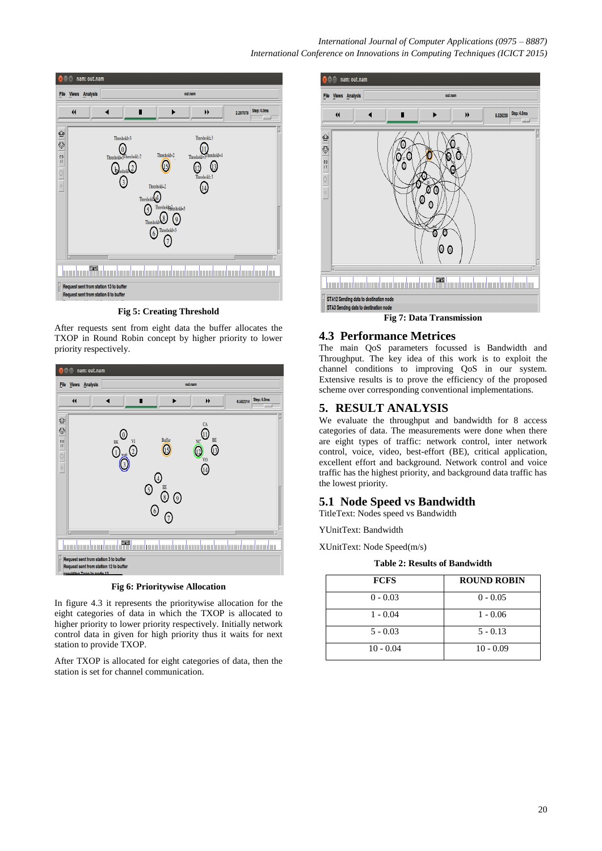#### *International Journal of Computer Applications (0975 – 8887) International Conference on Innovations in Computing Techniques (ICICT 2015)*



**Fig 5: Creating Threshold**

After requests sent from eight data the buffer allocates the TXOP in Round Robin concept by higher priority to lower priority respectively.



**Fig 6: Prioritywise Allocation**

In figure 4.3 it represents the prioritywise allocation for the eight categories of data in which the TXOP is allocated to higher priority to lower priority respectively. Initially network control data in given for high priority thus it waits for next station to provide TXOP.

After TXOP is allocated for eight categories of data, then the station is set for channel communication.



### **4.3 Performance Metrices**

The main QoS parameters focussed is Bandwidth and Throughput. The key idea of this work is to exploit the channel conditions to improving QoS in our system. Extensive results is to prove the efficiency of the proposed scheme over corresponding conventional implementations.

### **5. RESULT ANALYSIS**

We evaluate the throughput and bandwidth for 8 access categories of data. The measurements were done when there are eight types of traffic: network control, inter network control, voice, video, best-effort (BE), critical application, excellent effort and background. Network control and voice traffic has the highest priority, and background data traffic has the lowest priority.

### **5.1 Node Speed vs Bandwidth**

TitleText: Nodes speed vs Bandwidth

YUnitText: Bandwidth

XUnitText: Node Speed(m/s)

**Table 2: Results of Bandwidth**

| <b>FCFS</b> | <b>ROUND ROBIN</b> |
|-------------|--------------------|
| $0 - 0.03$  | $0 - 0.05$         |
| $1 - 0.04$  | $1 - 0.06$         |
| $5 - 0.03$  | $5 - 0.13$         |
| $10 - 0.04$ | $10 - 0.09$        |